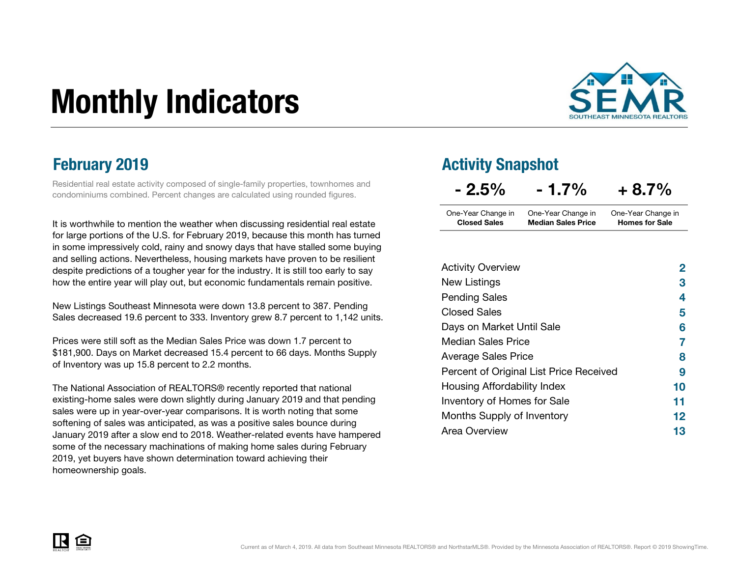# Monthly Indicators



Residential real estate activity composed of single-family properties, townhomes and condominiums combined. Percent changes are calculated using rounded figures.

It is worthwhile to mention the weather when discussing residential real estate for large portions of the U.S. for February 2019, because this month has turned in some impressively cold, rainy and snowy days that have stalled some buying and selling actions. Nevertheless, housing markets have proven to be resilient despite predictions of a tougher year for the industry. It is still too early to say how the entire year will play out, but economic fundamentals remain positive.

New Listings Southeast Minnesota were down 13.8 percent to 387. Pending Sales decreased 19.6 percent to 333. Inventory grew 8.7 percent to 1,142 units.

Prices were still soft as the Median Sales Price was down 1.7 percent to \$181,900. Days on Market decreased 15.4 percent to 66 days. Months Supply of Inventory was up 15.8 percent to 2.2 months.

The National Association of REALTORS® recently reported that national existing-home sales were down slightly during January 2019 and that pending sales were up in year-over-year comparisons. It is worth noting that some softening of sales was anticipated, as was a positive sales bounce during January 2019 after a slow end to 2018. Weather-related events have hampered some of the necessary machinations of making home sales during February 2019, yet buyers have shown determination toward achieving their homeownership goals.

### **February 2019 Activity Snapshot**

| $-2.5\%$            | $-1.7\%$                  | $+8.7%$               |  |
|---------------------|---------------------------|-----------------------|--|
| One-Year Change in  | One-Year Change in        | One-Year Change in    |  |
| <b>Closed Sales</b> | <b>Median Sales Price</b> | <b>Homes for Sale</b> |  |

| <b>Activity Overview</b>                | $\mathbf{2}$ |
|-----------------------------------------|--------------|
| New Listings                            | 3            |
| <b>Pending Sales</b>                    | 4            |
| <b>Closed Sales</b>                     | 5            |
| Days on Market Until Sale               | 6            |
| <b>Median Sales Price</b>               | 7            |
| <b>Average Sales Price</b>              | 8            |
| Percent of Original List Price Received | 9            |
| Housing Affordability Index             | 10           |
| Inventory of Homes for Sale             | 11           |
| Months Supply of Inventory              | $12 \,$      |
| Area Overview                           | 13           |

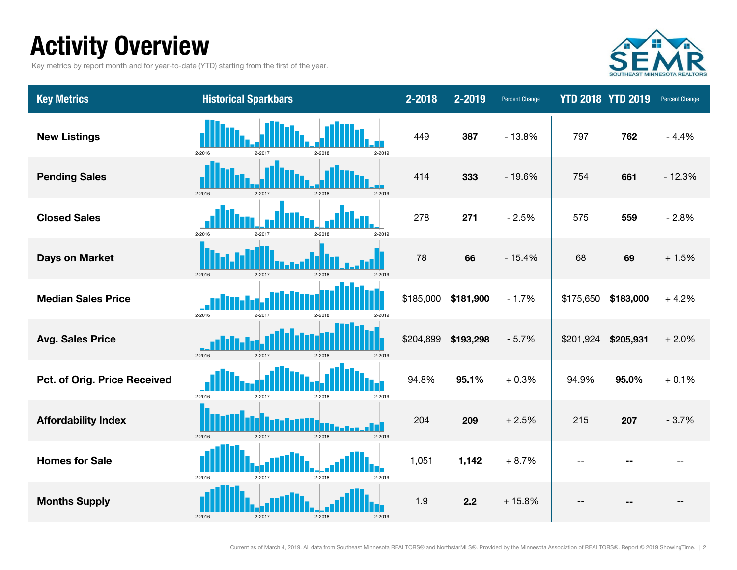### Activity Overview

Key metrics by report month and for year-to-date (YTD) starting from the first of the year.



| <b>Key Metrics</b>           | <b>Historical Sparkbars</b>                      | 2-2018    | 2-2019    | <b>Percent Change</b> |           | <b>YTD 2018 YTD 2019</b> | Percent Change |
|------------------------------|--------------------------------------------------|-----------|-----------|-----------------------|-----------|--------------------------|----------------|
| <b>New Listings</b>          | 2-2016<br>$2 - 2017$<br>$2 - 2018$<br>2-2019     | 449       | 387       | $-13.8%$              | 797       | 762                      | $-4.4%$        |
| <b>Pending Sales</b>         | 2-2016<br>$2 - 2017$<br>$2-2018$<br>2-2019       | 414       | 333       | $-19.6%$              | 754       | 661                      | $-12.3%$       |
| <b>Closed Sales</b>          | $2 - 2016$<br>2-2017<br>$2-2018$<br>2-2019       | 278       | 271       | $-2.5%$               | 575       | 559                      | $-2.8%$        |
| <b>Days on Market</b>        | $2 - 2016$<br>2-2017<br>$2 - 2018$<br>2-2019     | 78        | 66        | $-15.4%$              | 68        | 69                       | $+1.5%$        |
| <b>Median Sales Price</b>    | 2-2016<br>2-2017<br>2-2018<br>2-2019             | \$185,000 | \$181,900 | $-1.7%$               | \$175,650 | \$183,000                | $+4.2%$        |
| <b>Avg. Sales Price</b>      | 2-2016<br>$2 - 2017$<br>$2-2018$<br>2-2019       | \$204,899 | \$193,298 | $-5.7%$               | \$201,924 | \$205,931                | $+2.0%$        |
| Pct. of Orig. Price Received | 2-2016<br>2-2017<br>$2 - 2018$<br>2-2019         | 94.8%     | 95.1%     | $+0.3%$               | 94.9%     | 95.0%                    | $+0.1%$        |
| <b>Affordability Index</b>   | $2 - 2016$<br>$2 - 2017$<br>$2 - 2018$<br>2-2019 | 204       | 209       | $+2.5%$               | 215       | 207                      | $-3.7%$        |
| <b>Homes for Sale</b>        | 2-2016<br>2-2018<br>$2 - 2017$<br>2-2019         | 1,051     | 1,142     | $+8.7%$               |           |                          |                |
| <b>Months Supply</b>         | 2-2016<br>$2 - 2018$<br>2-2017<br>2-2019         | 1.9       | 2.2       | $+15.8%$              |           |                          |                |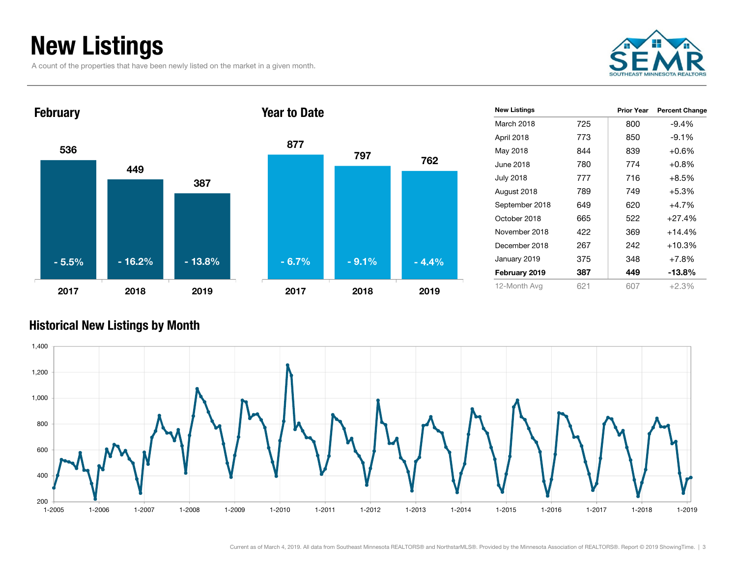### New Listings

A count of the properties that have been newly listed on the market in a given month.





| <b>New Listings</b> |     | Prior Year | <b>Percent Change</b> |
|---------------------|-----|------------|-----------------------|
| March 2018          | 725 | 800        | $-9.4%$               |
| April 2018          | 773 | 850        | $-9.1%$               |
| May 2018            | 844 | 839        | $+0.6\%$              |
| June 2018           | 780 | 774        | $+0.8%$               |
| <b>July 2018</b>    | 777 | 716        | $+8.5\%$              |
| August 2018         | 789 | 749        | $+5.3%$               |
| September 2018      | 649 | 620        | $+4.7%$               |
| October 2018        | 665 | 522        | $+27.4%$              |
| November 2018       | 422 | 369        | $+14.4%$              |
| December 2018       | 267 | 242        | +10.3%                |
| January 2019        | 375 | 348        | $+7.8\%$              |
| February 2019       | 387 | 449        | $-13.8%$              |
| 12-Month Avg        | 621 | 607        | $+2.3%$               |

#### Historical New Listings by Month

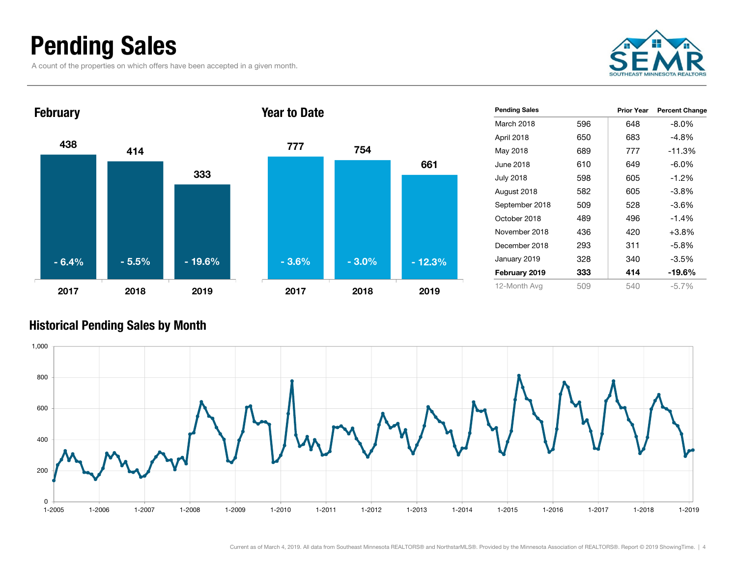### Pending Sales

A count of the properties on which offers have been accepted in a given month.





| <b>Pending Sales</b> |     | Prior Year | <b>Percent Change</b> |
|----------------------|-----|------------|-----------------------|
| March 2018           | 596 | 648        | $-8.0\%$              |
| April 2018           | 650 | 683        | $-4.8\%$              |
| May 2018             | 689 | 777        | $-11.3%$              |
| June 2018            | 610 | 649        | $-6.0\%$              |
| July 2018            | 598 | 605        | $-1.2\%$              |
| August 2018          | 582 | 605        | $-3.8%$               |
| September 2018       | 509 | 528        | $-3.6%$               |
| October 2018         | 489 | 496        | $-1.4%$               |
| November 2018        | 436 | 420        | $+3.8\%$              |
| December 2018        | 293 | 311        | $-5.8%$               |
| January 2019         | 328 | 340        | $-3.5\%$              |
| February 2019        | 333 | 414        | -19.6%                |
| 12-Month Avg         | 509 | 540        | $-5.7\%$              |

#### Historical Pending Sales by Month

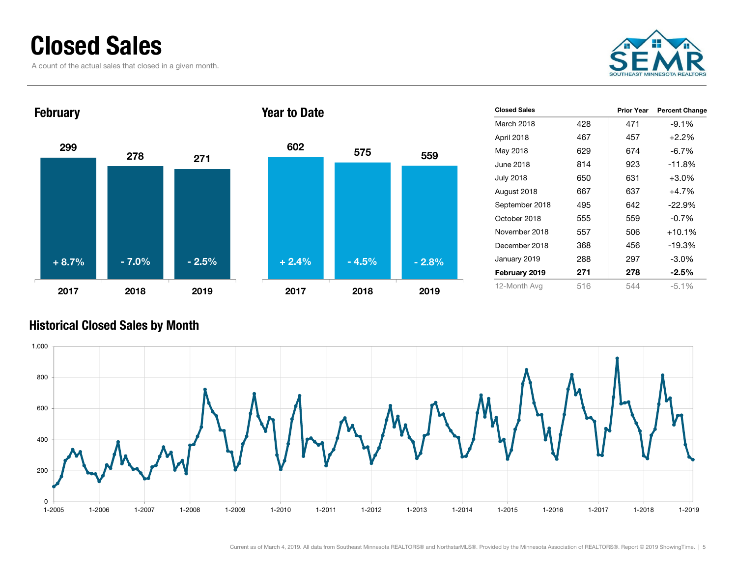### Closed Sales

A count of the actual sales that closed in a given month.





| <b>Closed Sales</b> |     | Prior Year | <b>Percent Change</b> |
|---------------------|-----|------------|-----------------------|
| March 2018          | 428 | 471        | $-9.1%$               |
| April 2018          | 467 | 457        | $+2.2%$               |
| May 2018            | 629 | 674        | -6.7%                 |
| June 2018           | 814 | 923        | $-11.8%$              |
| July 2018           | 650 | 631        | $+3.0%$               |
| August 2018         | 667 | 637        | $+4.7%$               |
| September 2018      | 495 | 642        | $-22.9\%$             |
| October 2018        | 555 | 559        | $-0.7%$               |
| November 2018       | 557 | 506        | $+10.1%$              |
| December 2018       | 368 | 456        | $-19.3%$              |
| January 2019        | 288 | 297        | $-3.0\%$              |
| February 2019       | 271 | 278        | $-2.5%$               |
| 12-Month Avg        | 516 | 544        | $-5.1%$               |

#### Historical Closed Sales by Month



559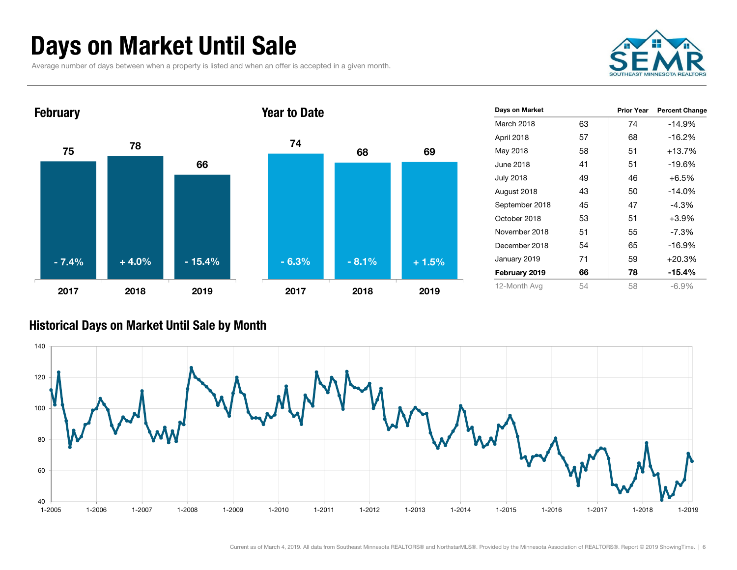### Days on Market Until Sale

Average number of days between when a property is listed and when an offer is accepted in a given month.





| Days on Market   |    | <b>Prior Year</b> | <b>Percent Change</b> |
|------------------|----|-------------------|-----------------------|
| March 2018       | 63 | 74                | $-14.9%$              |
| April 2018       | 57 | 68                | $-16.2%$              |
| May 2018         | 58 | 51                | +13.7%                |
| June 2018        | 41 | 51                | $-19.6%$              |
| <b>July 2018</b> | 49 | 46                | $+6.5%$               |
| August 2018      | 43 | 50                | $-14.0%$              |
| September 2018   | 45 | 47                | $-4.3%$               |
| October 2018     | 53 | 51                | $+3.9%$               |
| November 2018    | 51 | 55                | $-7.3\%$              |
| December 2018    | 54 | 65                | $-16.9%$              |
| January 2019     | 71 | 59                | $+20.3%$              |
| February 2019    | 66 | 78                | $-15.4%$              |
| 12-Month Avg     | 54 | 58                | $-6.9\%$              |

#### Historical Days on Market Until Sale by Month

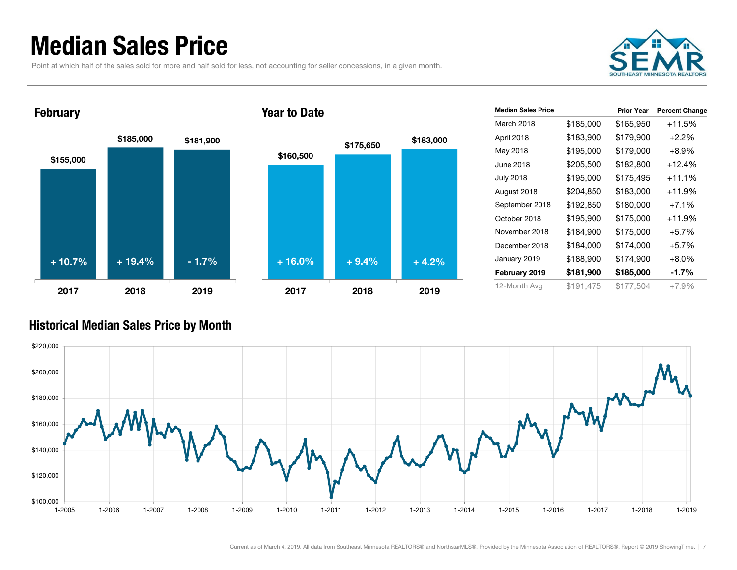### Median Sales Price

Point at which half of the sales sold for more and half sold for less, not accounting for seller concessions, in a given month.





| <b>Median Sales Price</b> |           | <b>Prior Year</b> | <b>Percent Change</b> |
|---------------------------|-----------|-------------------|-----------------------|
| March 2018                | \$185,000 | \$165,950         | $+11.5%$              |
| April 2018                | \$183,900 | \$179,900         | $+2.2%$               |
| May 2018                  | \$195,000 | \$179,000         | $+8.9\%$              |
| June 2018                 | \$205,500 | \$182,800         | +12.4%                |
| July 2018                 | \$195,000 | \$175,495         | $+11.1%$              |
| August 2018               | \$204,850 | \$183,000         | +11.9%                |
| September 2018            | \$192,850 | \$180,000         | $+7.1%$               |
| October 2018              | \$195,900 | \$175,000         | $+11.9%$              |
| November 2018             | \$184,900 | \$175,000         | $+5.7%$               |
| December 2018             | \$184,000 | \$174,000         | $+5.7%$               |
| January 2019              | \$188,900 | \$174,900         | $+8.0%$               |
| February 2019             | \$181,900 | \$185,000         | -1.7%                 |
| 12-Month Avg              | \$191,475 | \$177.504         | $+7.9%$               |

#### Historical Median Sales Price by Month

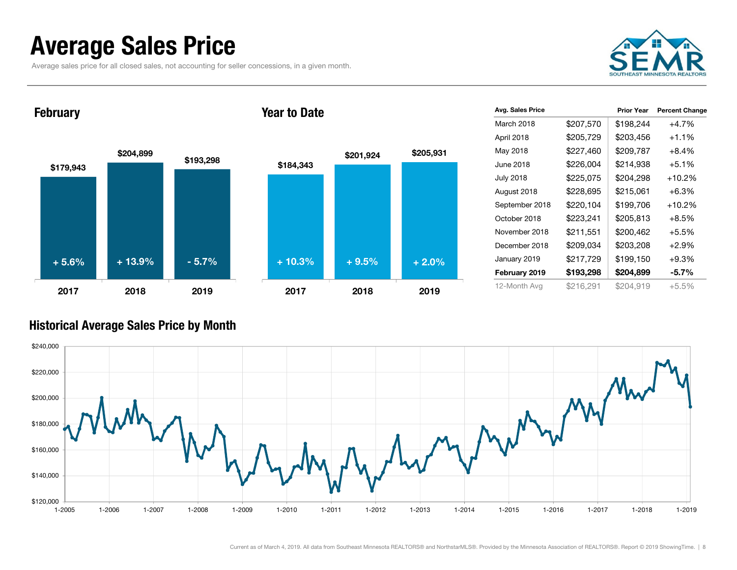### Average Sales Price

Average sales price for all closed sales, not accounting for seller concessions, in a given month.



**February** 





| Avg. Sales Price |           | <b>Prior Year</b> | <b>Percent Change</b> |
|------------------|-----------|-------------------|-----------------------|
| March 2018       | \$207,570 | \$198,244         | $+4.7%$               |
| April 2018       | \$205,729 | \$203,456         | $+1.1\%$              |
| May 2018         | \$227,460 | \$209,787         | $+8.4\%$              |
| June 2018        | \$226,004 | \$214,938         | $+5.1%$               |
| <b>July 2018</b> | \$225,075 | \$204,298         | $+10.2%$              |
| August 2018      | \$228,695 | \$215,061         | $+6.3%$               |
| September 2018   | \$220,104 | \$199,706         | $+10.2%$              |
| October 2018     | \$223,241 | \$205,813         | $+8.5%$               |
| November 2018    | \$211,551 | \$200,462         | $+5.5%$               |
| December 2018    | \$209,034 | \$203,208         | $+2.9%$               |
| January 2019     | \$217,729 | \$199,150         | $+9.3%$               |
| February 2019    | \$193,298 | \$204,899         | $-5.7\%$              |
| 12-Month Avg     | \$216,291 | \$204,919         | $+5.5%$               |

#### Historical Average Sales Price by Month

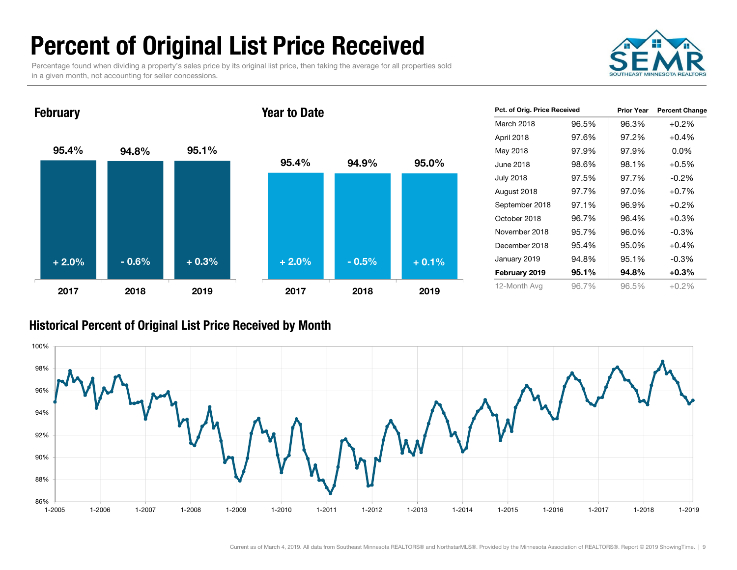### Percent of Original List Price Received

Percentage found when dividing a property's sales price by its original list price, then taking the average for all properties sold in a given month, not accounting for seller concessions.



95.4% 94.8% 95.1% 2017 2018 2019**February** 95.4% 94.9% 95.0%2017 2018 2019Year to Date+ 2.0% $\%$  - 0.6% + 0.3% + 2.0% - 0.5% + 0.1%

| Pct. of Orig. Price Received |       | <b>Prior Year</b> | <b>Percent Change</b> |
|------------------------------|-------|-------------------|-----------------------|
| March 2018                   | 96.5% | 96.3%             | $+0.2%$               |
| April 2018                   | 97.6% | 97.2%             | $+0.4%$               |
| May 2018                     | 97.9% | 97.9%             | $0.0\%$               |
| June 2018                    | 98.6% | 98.1%             | $+0.5%$               |
| <b>July 2018</b>             | 97.5% | 97.7%             | $-0.2\%$              |
| August 2018                  | 97.7% | 97.0%             | $+0.7%$               |
| September 2018               | 97.1% | 96.9%             | $+0.2\%$              |
| October 2018                 | 96.7% | 96.4%             | $+0.3%$               |
| November 2018                | 95.7% | 96.0%             | $-0.3\%$              |
| December 2018                | 95.4% | 95.0%             | $+0.4%$               |
| January 2019                 | 94.8% | 95.1%             | $-0.3%$               |
| February 2019                | 95.1% | 94.8%             | $+0.3%$               |
| 12-Month Avg                 | 96.7% | 96.5%             | $+0.2%$               |

#### Historical Percent of Original List Price Received by Month

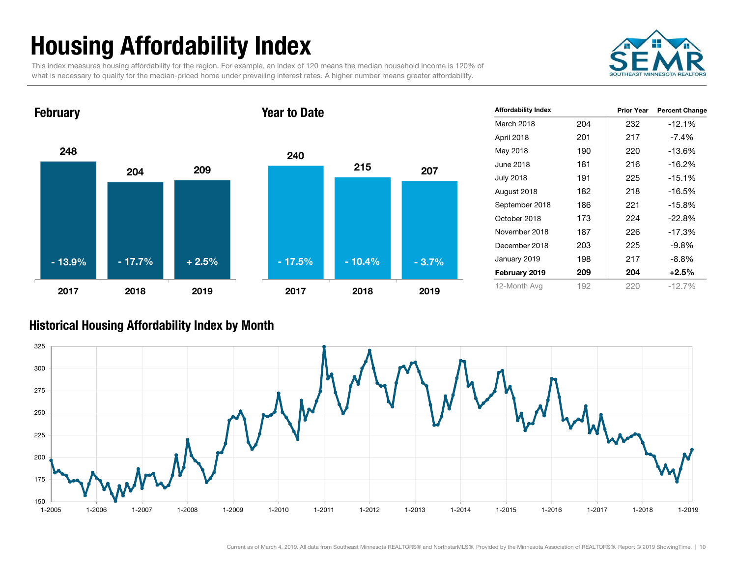## Housing Affordability Index

This index measures housing affordability for the region. For example, an index of 120 means the median household income is 120% of what is necessary to qualify for the median-priced home under prevailing interest rates. A higher number means greater affordability.



248204 209 2017 2018 2019**February** 240215 2072017 2018 2019Year to Date- 13.9%- 17.7% + 2.5% - 10.4% - 17.5% - 3.7%

| <b>Affordability Index</b> |     | <b>Prior Year</b> | <b>Percent Change</b> |
|----------------------------|-----|-------------------|-----------------------|
| March 2018                 | 204 | 232               | $-12.1%$              |
| April 2018                 | 201 | 217               | -7.4%                 |
| May 2018                   | 190 | 220               | $-13.6%$              |
| June 2018                  | 181 | 216               | $-16.2%$              |
| <b>July 2018</b>           | 191 | 225               | $-15.1%$              |
| August 2018                | 182 | 218               | $-16.5%$              |
| September 2018             | 186 | 221               | $-15.8%$              |
| October 2018               | 173 | 224               | $-22.8%$              |
| November 2018              | 187 | 226               | $-17.3%$              |
| December 2018              | 203 | 225               | -9.8%                 |
| January 2019               | 198 | 217               | -8.8%                 |
| February 2019              | 209 | 204               | $+2.5\%$              |
| 12-Month Avg               | 192 | 220               | $-12.7%$              |

#### Historical Housing Affordability Index by Mont h

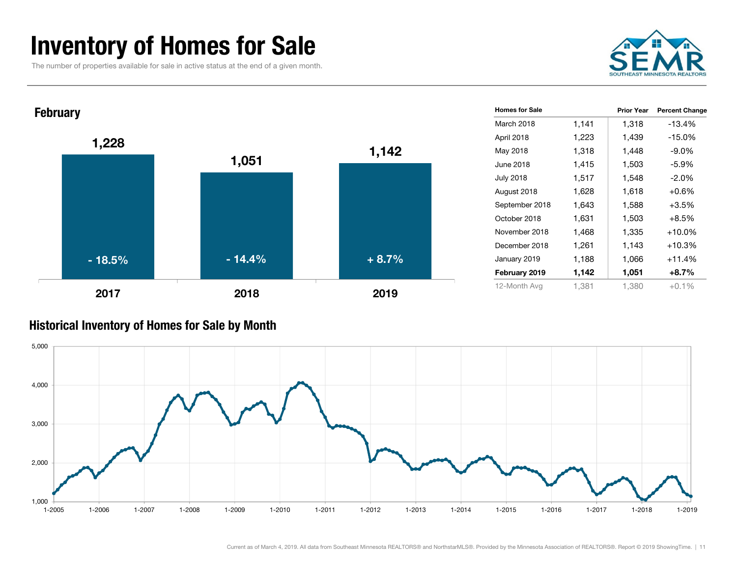### Inventory of Homes for Sale

The number of properties available for sale in active status at the end of a given month.



| <b>February</b> |          |         | <b>Homes for Sale</b> |       | <b>Prior Year</b> | <b>Percent Change</b> |
|-----------------|----------|---------|-----------------------|-------|-------------------|-----------------------|
|                 |          |         | March 2018            | 1,141 | 1,318             | $-13.4%$              |
| 1,228           |          |         | April 2018            | 1,223 | 1,439             | $-15.0%$              |
|                 |          | 1,142   | May 2018              | 1,318 | 1,448             | $-9.0\%$              |
|                 | 1,051    |         | June 2018             | 1,415 | 1,503             | $-5.9%$               |
|                 |          |         | <b>July 2018</b>      | 1,517 | 1,548             | $-2.0%$               |
|                 |          |         | August 2018           | 1,628 | 1,618             | $+0.6%$               |
|                 |          |         | September 2018        | 1,643 | 1,588             | $+3.5%$               |
|                 |          |         | October 2018          | 1,631 | 1,503             | $+8.5%$               |
|                 |          |         | November 2018         | 1,468 | 1,335             | $+10.0\%$             |
|                 |          |         | December 2018         | 1,261 | 1,143             | $+10.3%$              |
| $-18.5%$        | $-14.4%$ | $+8.7%$ | January 2019          | 1,188 | 1,066             | $+11.4%$              |
|                 |          |         | February 2019         | 1,142 | 1,051             | $+8.7%$               |
| 2017            | 2018     | 2019    | 12-Month Avg          | 1,381 | 1,380             | $+0.1%$               |

#### Historical Inventory of Homes for Sale by Month

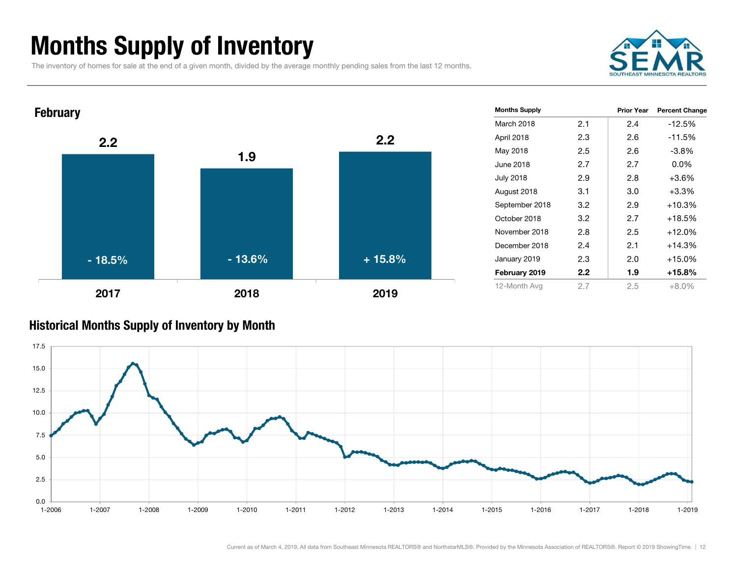### Months Supply of Inventory

The inventory of homes for sale at the end of a given month, divided by the average monthly pending sales from the last 12 months.





#### Historical Months Supply of Inventory by Month